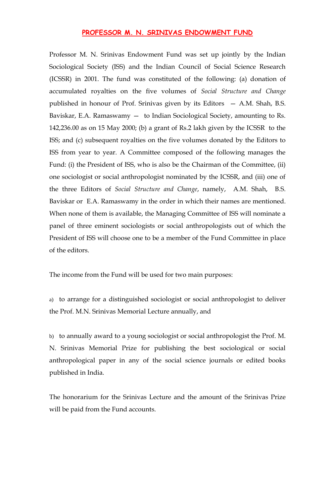## **PROFESSOR M. N. SRINIVAS ENDOWMENT FUND**

Professor M. N. Srinivas Endowment Fund was set up jointly by the Indian Sociological Society (ISS) and the Indian Council of Social Science Research (ICSSR) in 2001. The fund was constituted of the following: (a) donation of accumulated royalties on the five volumes of *Social Structure and Change* published in honour of Prof. Srinivas given by its Editors — A.M. Shah, B.S. Baviskar, E.A. Ramaswamy — to Indian Sociological Society, amounting to Rs. 142,236.00 as on 15 May 2000; (b) a grant of Rs.2 lakh given by the ICSSR to the ISS; and (c) subsequent royalties on the five volumes donated by the Editors to ISS from year to year. A Committee composed of the following manages the Fund: (i) the President of ISS, who is also be the Chairman of the Committee, (ii) one sociologist or social anthropologist nominated by the ICSSR, and (iii) one of the three Editors of *Social Structure and Change*, namely, A.M. Shah, B.S. Baviskar or E.A. Ramaswamy in the order in which their names are mentioned. When none of them is available, the Managing Committee of ISS will nominate a panel of three eminent sociologists or social anthropologists out of which the President of ISS will choose one to be a member of the Fund Committee in place of the editors.

The income from the Fund will be used for two main purposes:

a) to arrange for a distinguished sociologist or social anthropologist to deliver the Prof. M.N. Srinivas Memorial Lecture annually, and

b) to annually award to a young sociologist or social anthropologist the Prof. M. N. Srinivas Memorial Prize for publishing the best sociological or social anthropological paper in any of the social science journals or edited books published in India.

The honorarium for the Srinivas Lecture and the amount of the Srinivas Prize will be paid from the Fund accounts.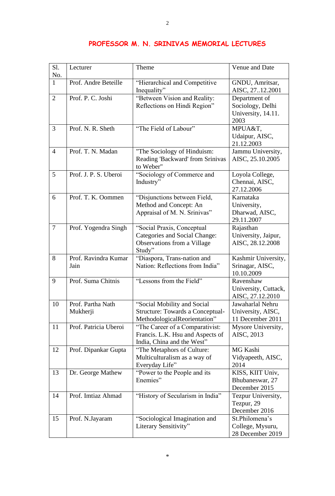| Sl.<br>No.     | Lecturer                      | Theme                                                                                                       | Venue and Date                                                  |
|----------------|-------------------------------|-------------------------------------------------------------------------------------------------------------|-----------------------------------------------------------------|
| $\mathbf{1}$   | Prof. Andre Beteille          | "Hierarchical and Competitive<br>Inequality"                                                                | GNDU, Amritsar,<br>AISC, 2712.2001                              |
| $\overline{2}$ | Prof. P. C. Joshi             | "Between Vision and Reality:<br>Reflections on Hindi Region"                                                | Department of<br>Sociology, Delhi<br>University, 14.11.<br>2003 |
| 3              | Prof. N. R. Sheth             | "The Field of Labour"                                                                                       | MPUA&T,<br>Udaipur, AISC,<br>21.12.2003                         |
| $\overline{4}$ | Prof. T. N. Madan             | "The Sociology of Hinduism:<br>Reading 'Backward' from Srinivas<br>to Weber"                                | Jammu University,<br>AISC, 25.10.2005                           |
| 5              | Prof. J. P. S. Uberoi         | "Sociology of Commerce and<br>Industry"                                                                     | Loyola College,<br>Chennai, AISC,<br>27.12.2006                 |
| 6              | Prof. T. K. Oommen            | "Disjunctions between Field,<br>Method and Concept: An<br>Appraisal of M. N. Srinivas"                      | Karnataka<br>University,<br>Dharwad, AISC,<br>29.11.2007        |
| $\tau$         | Prof. Yogendra Singh          | "Social Praxis, Conceptual<br><b>Categories and Social Change:</b><br>Observations from a Village<br>Study" | Rajasthan<br>University, Jaipur,<br>AISC, 28.12.2008            |
| 8              | Prof. Ravindra Kumar<br>Jain  | "Diaspora, Trans-nation and<br>Nation: Reflections from India"                                              | Kashmir University,<br>Srinagar, AISC,<br>10.10.2009            |
| 9              | Prof. Suma Chitnis            | "Lessons from the Field"                                                                                    | Ravenshaw<br>University, Cuttack,<br>AISC, 27.12.2010           |
| 10             | Prof. Partha Nath<br>Mukherji | "Social Mobility and Social<br><b>Structure: Towards a Conceptual-</b><br>MethodologicalReorientation"      | Jawaharlal Nehru<br>University, AISC,<br>11 December 2011       |
| 11             | Prof. Patricia Uberoi         | "The Career of a Comparativist:<br>Francis. L.K. Hsu and Aspects of<br>India, China and the West"           | Mysore University,<br>AISC, 2013                                |
| 12             | Prof. Dipankar Gupta          | "The Metaphors of Culture:<br>Multiculturalism as a way of<br>Everyday Life"                                | MG Kashi<br>Vidyapeeth, AISC,<br>2014                           |
| 13             | Dr. George Mathew             | "Power to the People and its<br>Enemies"                                                                    | KISS, KIIT Univ,<br>Bhubaneswar, 27<br>December 2015            |
| 14             | Prof. Imtiaz Ahmad            | "History of Secularism in India"                                                                            | Tezpur University,<br>Tezpur, 29<br>December 2016               |
| 15             | Prof. N.Jayaram               | "Sociological Imagination and<br>Literary Sensitivity"                                                      | St.Philomena's<br>College, Mysuru,<br>28 December 2019          |

## **PROFESSOR M. N. SRINIVAS MEMORIAL LECTURES**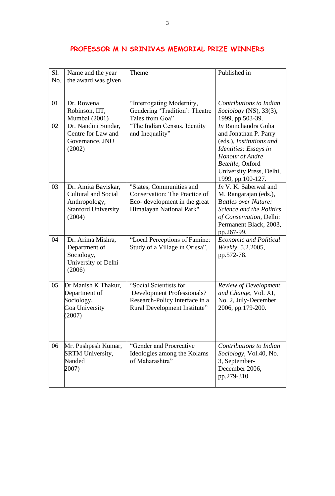| S1.<br>No. | Name and the year<br>the award was given                                                                   | Theme                                                                                                                        | Published in                                                                                                                                                                             |
|------------|------------------------------------------------------------------------------------------------------------|------------------------------------------------------------------------------------------------------------------------------|------------------------------------------------------------------------------------------------------------------------------------------------------------------------------------------|
| 01         | Dr. Rowena<br>Robinson, IIT,<br>Mumbai (2001)                                                              | "Interrogating Modernity,<br>Gendering 'Tradition': Theatre<br>Tales from Goa"                                               | Contributions to Indian<br>Sociology (NS), 33(3),<br>1999, pp.503-39.                                                                                                                    |
| 02         | Dr. Nandini Sundar,<br>Centre for Law and<br>Governance, JNU<br>(2002)                                     | "The Indian Census, Identity<br>and Inequality"                                                                              | In Ramchandra Guha<br>and Jonathan P. Parry<br>(eds.), Institutions and<br>Identities: Essays in<br>Honour of Andre<br>Beteille, Oxford<br>University Press, Delhi,<br>1999, pp.100-127. |
| 03         | Dr. Amita Baviskar,<br><b>Cultural and Social</b><br>Anthropology,<br><b>Stanford University</b><br>(2004) | "States, Communities and<br><b>Conservation: The Practice of</b><br>Eco-development in the great<br>Himalayan National Park" | In V. K. Saberwal and<br>M. Rangarajan (eds.),<br><b>Battles over Nature:</b><br>Science and the Politics<br>of Conservation, Delhi:<br>Permanent Black, 2003,<br>pp.267-99.             |
| 04         | Dr. Arima Mishra,<br>Department of<br>Sociology,<br>University of Delhi<br>(2006)                          | "Local Perceptions of Famine:<br>Study of a Village in Orissa",                                                              | <b>Economic and Political</b><br>Weekly, 5.2.2005,<br>pp.572-78.                                                                                                                         |
| 05         | Dr Manish K Thakur,<br>Department of<br>Sociology,<br>Goa University<br>(2007)                             | "Social Scientists for<br>Development Professionals?<br>Research-Policy Interface in a<br>Rural Development Institute"       | Review of Development<br>and Change, Vol. XI,<br>No. 2, July-December<br>2006, pp.179-200.                                                                                               |
| 06         | Mr. Pushpesh Kumar,<br><b>SRTM University,</b><br>Nanded<br>2007)                                          | "Gender and Procreative<br>Ideologies among the Kolams<br>of Maharashtra"                                                    | Contributions to Indian<br>Sociology, Vol.40, No.<br>3, September-<br>December 2006,<br>pp.279-310                                                                                       |

## **PROFESSOR M N SRINIVAS MEMORIAL PRIZE WINNERS**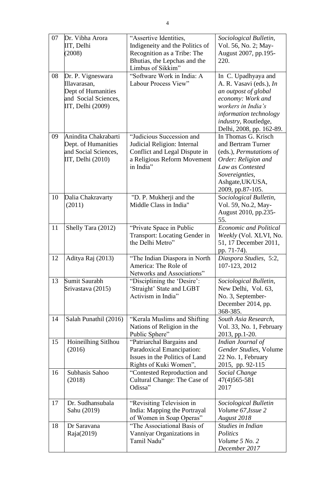| 07 | Dr. Vibha Arora<br>IIT, Delhi<br>(2008)                                                              | "Assertive Identities,<br>Indigeneity and the Politics of<br>Recognition as a Tribe: The<br>Bhutias, the Lepchas and the<br>Limbus of Sikkim" | Sociological Bulletin,<br>Vol. 56, No. 2; May-<br>August 2007, pp.195-<br>220.                                                                                                                  |
|----|------------------------------------------------------------------------------------------------------|-----------------------------------------------------------------------------------------------------------------------------------------------|-------------------------------------------------------------------------------------------------------------------------------------------------------------------------------------------------|
| 08 | Dr. P. Vigneswara<br>Illavarasan,<br>Dept of Humanities<br>and Social Sciences,<br>IIT, Delhi (2009) | "Software Work in India: A<br>Labour Process View"                                                                                            | In C. Upadhyaya and<br>A. R. Vasavi (eds.), In<br>an outpost of global<br>economy: Work and<br>workers in India's<br>information technology<br>industry, Routledge,<br>Delhi, 2008, pp. 162-89. |
| 09 | Anindita Chakrabarti<br>Dept. of Humanities<br>and Social Sciences,<br>IIT, Delhi (2010)             | "Judicious Succession and<br>Judicial Religion: Internal<br>Conflict and Legal Dispute in<br>a Religious Reform Movement<br>in India"         | In Thomas G. Krisch<br>and Bertram Turner<br>(eds.), Permutations of<br>Order: Religion and<br>Law as Contested<br>Sovereignties,<br>Ashgate, UK/USA,<br>2009, pp.87-105.                       |
| 10 | Dalia Chakravarty<br>(2011)                                                                          | "D. P. Mukherji and the<br>Middle Class in India"                                                                                             | Sociological Bulletin,<br>Vol. 59, No.2, May-<br>August 2010, pp.235-<br>55.                                                                                                                    |
| 11 | Shelly Tara (2012)                                                                                   | "Private Space in Public<br>Transport: Locating Gender in<br>the Delhi Metro"                                                                 | <b>Economic and Political</b><br>Weekly (Vol. XLVI, No.<br>51, 17 December 2011,<br>pp. 71-74).                                                                                                 |
| 12 | Aditya Raj (2013)                                                                                    | "The Indian Diaspora in North<br>America: The Role of<br>Networks and Associations"                                                           | Diaspora Studies, 5:2,<br>107-123, 2012                                                                                                                                                         |
| 13 | Sumit Saurabh<br>Srivastava (2015)                                                                   | "Disciplining the 'Desire':<br>'Straight' State and LGBT<br>Activism in India"                                                                | Sociological Bulletin,<br>New Delhi, Vol. 63,<br>No. 3, September-<br>December 2014, pp.<br>368-385.                                                                                            |
| 14 | Salah Punathil (2016)                                                                                | "Kerala Muslims and Shifting<br>Nations of Religion in the<br>Public Sphere"                                                                  | South Asia Research,<br>Vol. 33, No. 1, February<br>2013, pp.1-20.                                                                                                                              |
| 15 | Hoineilhing Sitlhou<br>(2016)                                                                        | "Patriarchal Bargains and<br>Paradoxical Emancipation:<br>Issues in the Politics of Land<br>Rights of Kuki Women",                            | Indian Journal of<br>Gender Studies, Volume<br>22 No. 1, February<br>2015, pp. 92-115                                                                                                           |
| 16 | Subhasis Sahoo<br>(2018)                                                                             | "Contested Reproduction and<br>Cultural Change: The Case of<br>Odissa"                                                                        | Social Change<br>47(4) 565-581<br>2017                                                                                                                                                          |
| 17 | Dr. Sudhansubala<br>Sahu (2019)                                                                      | "Revisiting Television in<br>India: Mapping the Portrayal<br>of Women in Soap Operas"                                                         | Sociological Bulletin<br>Volume 67, Issue 2<br>August 2018                                                                                                                                      |
| 18 | Dr Saravana<br>Raja(2019)                                                                            | "The Associational Basis of<br>Vanniyar Organizations in<br>Tamil Nadu"                                                                       | Studies in Indian<br>Politics<br>Volume 5 No. 2<br>December 2017                                                                                                                                |